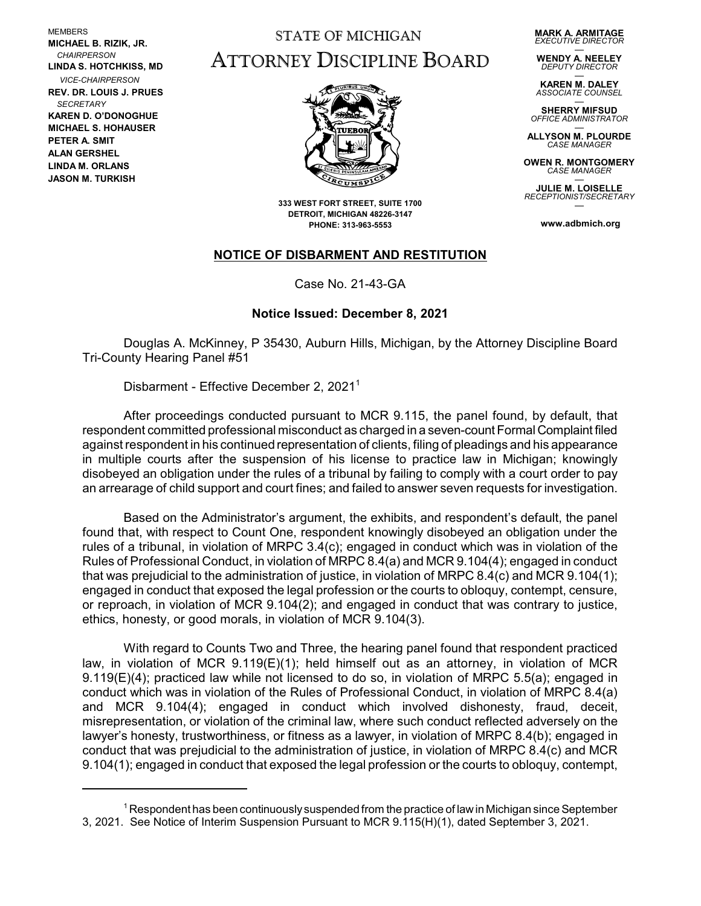MEMBERS **MICHAEL B. RIZIK, JR.**  *CHAIRPERSON* **LINDA S. HOTCHKISS, MD** *VICE-CHAIRPERSON* **REV. DR. LOUIS J. PRUES**  *SECRETARY* **KAREN D. O'DONOGHUE MICHAEL S. HOHAUSER PETER A. SMIT ALAN GERSHEL LINDA M. ORLANS JASON M. TURKISH**

## STATE OF MICHIGAN ATTORNEY DISCIPLINE BOARD

**MARK A. ARMITAGE** *EXECUTIVE DIRECTOR*

— **WENDY A. NEELEY** *DEPUTY DIRECTOR*

— **KAREN M. DALEY** *ASSOCIATE COUNSEL*

— **SHERRY MIFSUD** *OFFICE ADMINISTRATOR*

— **ALLYSON M. PLOURDE CASE MANAGE** 

**OWEN R. MONTGOMERY** *CASE MANAGER* —

**JULIE M. LOISELLE** *RECEPTIONIST/SECRETARY* —

**www.adbmich.org**



**333 WEST FORT STREET, SUITE 1700 DETROIT, MICHIGAN 48226-3147 PHONE: 313-963-5553**

## **NOTICE OF DISBARMENT AND RESTITUTION**

Case No. 21-43-GA

## **Notice Issued: December 8, 2021**

Douglas A. McKinney, P 35430, Auburn Hills, Michigan, by the Attorney Discipline Board Tri-County Hearing Panel #51

Disbarment - Effective December 2, 2021<sup>1</sup>

After proceedings conducted pursuant to MCR 9.115, the panel found, by default, that respondent committed professional misconduct as charged in a seven-count Formal Complaint filed against respondent in his continued representation of clients, filing of pleadings and his appearance in multiple courts after the suspension of his license to practice law in Michigan; knowingly disobeyed an obligation under the rules of a tribunal by failing to comply with a court order to pay an arrearage of child support and court fines; and failed to answer seven requests for investigation.

Based on the Administrator's argument, the exhibits, and respondent's default, the panel found that, with respect to Count One, respondent knowingly disobeyed an obligation under the rules of a tribunal, in violation of MRPC 3.4(c); engaged in conduct which was in violation of the Rules of Professional Conduct, in violation of MRPC 8.4(a) and MCR 9.104(4); engaged in conduct that was prejudicial to the administration of justice, in violation of MRPC 8.4(c) and MCR 9.104(1); engaged in conduct that exposed the legal profession or the courts to obloquy, contempt, censure, or reproach, in violation of MCR 9.104(2); and engaged in conduct that was contrary to justice, ethics, honesty, or good morals, in violation of MCR 9.104(3).

With regard to Counts Two and Three, the hearing panel found that respondent practiced law, in violation of MCR 9.119(E)(1); held himself out as an attorney, in violation of MCR 9.119(E)(4); practiced law while not licensed to do so, in violation of MRPC 5.5(a); engaged in conduct which was in violation of the Rules of Professional Conduct, in violation of MRPC 8.4(a) and MCR 9.104(4); engaged in conduct which involved dishonesty, fraud, deceit, misrepresentation, or violation of the criminal law, where such conduct reflected adversely on the lawyer's honesty, trustworthiness, or fitness as a lawyer, in violation of MRPC 8.4(b); engaged in conduct that was prejudicial to the administration of justice, in violation of MRPC 8.4(c) and MCR 9.104(1); engaged in conduct that exposed the legal profession or the courts to obloquy, contempt,

 $^1$  Respondent has been continuously suspended from the practice of law in Michigan since September  $^1$ 3, 2021. See Notice of Interim Suspension Pursuant to MCR 9.115(H)(1), dated September 3, 2021.